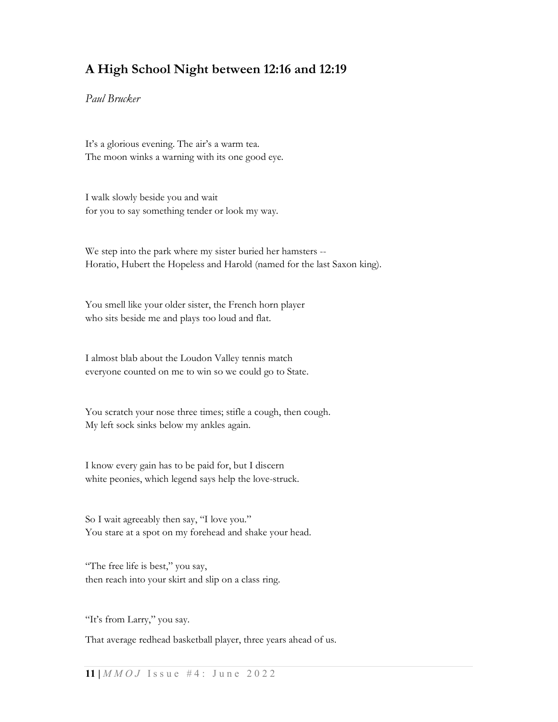## A High School Night between 12:16 and 12:19

Paul Brucker

It's a glorious evening. The air's a warm tea. The moon winks a warning with its one good eye.

I walk slowly beside you and wait for you to say something tender or look my way.

We step into the park where my sister buried her hamsters -- Horatio, Hubert the Hopeless and Harold (named for the last Saxon king).

You smell like your older sister, the French horn player who sits beside me and plays too loud and flat.

I almost blab about the Loudon Valley tennis match everyone counted on me to win so we could go to State.

You scratch your nose three times; stifle a cough, then cough. My left sock sinks below my ankles again.

I know every gain has to be paid for, but I discern white peonies, which legend says help the love-struck.

So I wait agreeably then say, "I love you." You stare at a spot on my forehead and shake your head.

"The free life is best," you say, then reach into your skirt and slip on a class ring.

"It's from Larry," you say.

That average redhead basketball player, three years ahead of us.